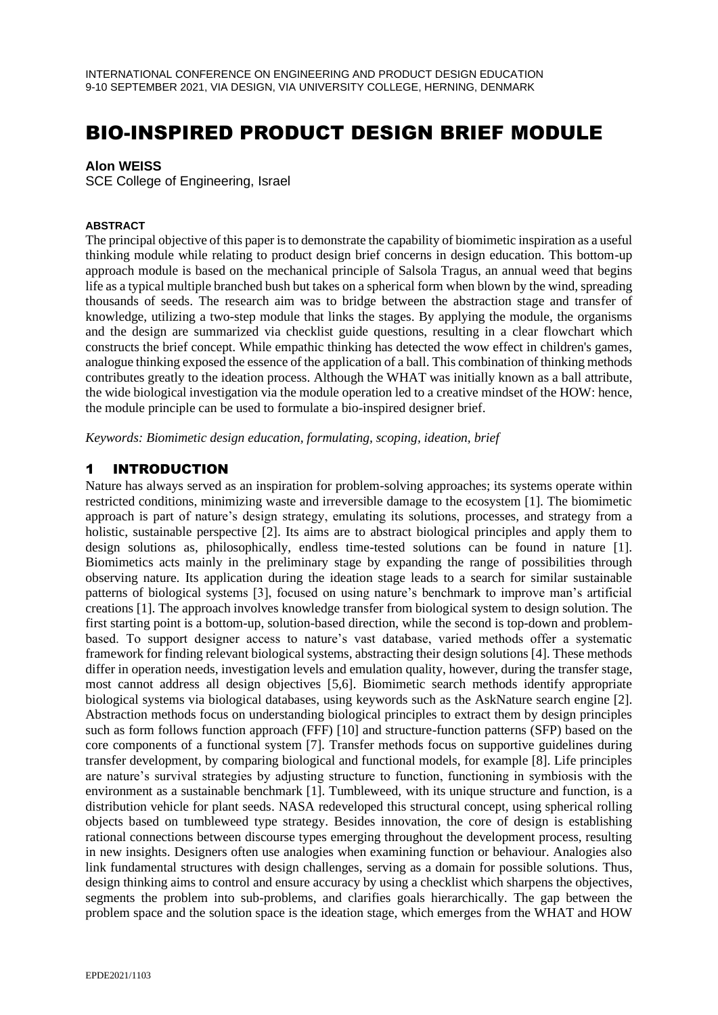# BIO-INSPIRED PRODUCT DESIGN BRIEF MODULE

### **Alon WEISS**

SCE College of Engineering, Israel

#### **ABSTRACT**

The principal objective of this paper is to demonstrate the capability of biomimetic inspiration as a useful thinking module while relating to product design brief concerns in design education. This bottom-up approach module is based on the mechanical principle of Salsola Tragus, an annual weed that begins life as a typical multiple branched bush but takes on a spherical form when blown by the wind, spreading thousands of seeds. The research aim was to bridge between the abstraction stage and transfer of knowledge, utilizing a two-step module that links the stages. By applying the module, the organisms and the design are summarized via checklist guide questions, resulting in a clear flowchart which constructs the brief concept. While empathic thinking has detected the wow effect in children's games, analogue thinking exposed the essence of the application of a ball. This combination of thinking methods contributes greatly to the ideation process. Although the WHAT was initially known as a ball attribute, the wide biological investigation via the module operation led to a creative mindset of the HOW: hence, the module principle can be used to formulate a bio-inspired designer brief.

*Keywords: Biomimetic design education, formulating, scoping, ideation, brief*

# 1 INTRODUCTION

Nature has always served as an inspiration for problem-solving approaches; its systems operate within restricted conditions, minimizing waste and irreversible damage to the ecosystem [1]. The biomimetic approach is part of nature's design strategy, emulating its solutions, processes, and strategy from a holistic, sustainable perspective [2]. Its aims are to abstract biological principles and apply them to design solutions as, philosophically, endless time-tested solutions can be found in nature [1]. Biomimetics acts mainly in the preliminary stage by expanding the range of possibilities through observing nature. Its application during the ideation stage leads to a search for similar sustainable patterns of biological systems [3], focused on using nature's benchmark to improve man's artificial creations [1]. The approach involves knowledge transfer from biological system to design solution. The first starting point is a bottom-up, solution-based direction, while the second is top-down and problembased. To support designer access to nature's vast database, varied methods offer a systematic framework for finding relevant biological systems, abstracting their design solutions [4]. These methods differ in operation needs, investigation levels and emulation quality, however, during the transfer stage, most cannot address all design objectives [5,6]. Biomimetic search methods identify appropriate biological systems via biological databases, using keywords such as the AskNature search engine [2]. Abstraction methods focus on understanding biological principles to extract them by design principles such as form follows function approach (FFF) [10] and structure-function patterns (SFP) based on the core components of a functional system [7]. Transfer methods focus on supportive guidelines during transfer development, by comparing biological and functional models, for example [8]. Life principles are nature's survival strategies by adjusting structure to function, functioning in symbiosis with the environment as a sustainable benchmark [1]. Tumbleweed, with its unique structure and function, is a distribution vehicle for plant seeds. NASA redeveloped this structural concept, using spherical rolling objects based on tumbleweed type strategy. Besides innovation, the core of design is establishing rational connections between discourse types emerging throughout the development process, resulting in new insights. Designers often use analogies when examining function or behaviour. Analogies also link fundamental structures with design challenges, serving as a domain for possible solutions. Thus, design thinking aims to control and ensure accuracy by using a checklist which sharpens the objectives, segments the problem into sub-problems, and clarifies goals hierarchically. The gap between the problem space and the solution space is the ideation stage, which emerges from the WHAT and HOW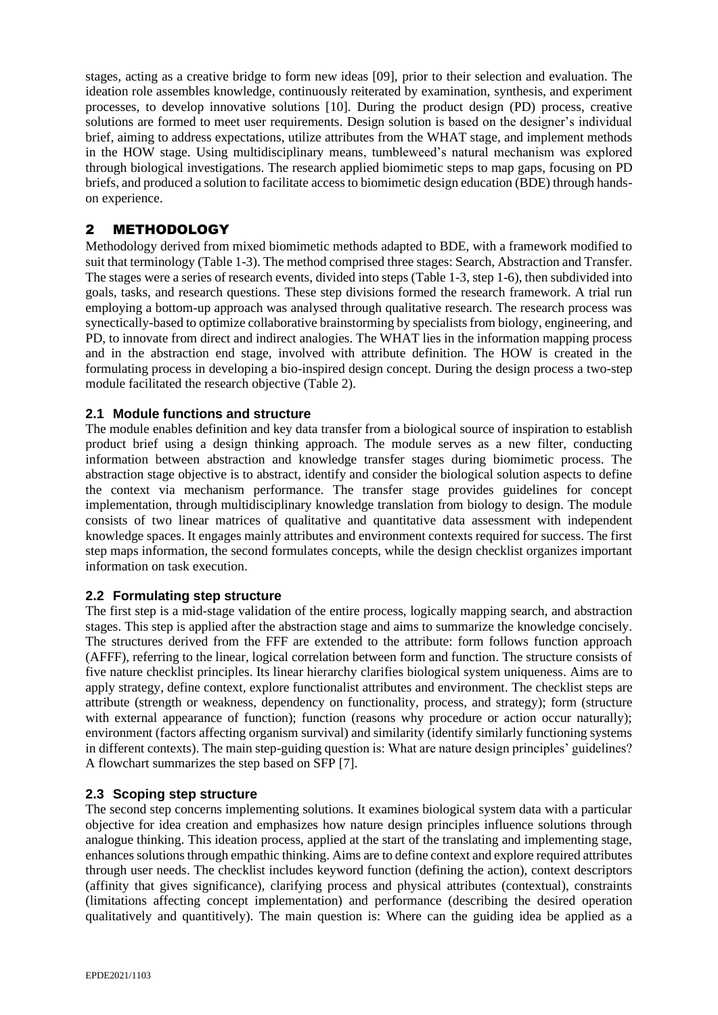stages, acting as a creative bridge to form new ideas [09], prior to their selection and evaluation. The ideation role assembles knowledge, continuously reiterated by examination, synthesis, and experiment processes, to develop innovative solutions [10]. During the product design (PD) process, creative solutions are formed to meet user requirements. Design solution is based on the designer's individual brief, aiming to address expectations, utilize attributes from the WHAT stage, and implement methods in the HOW stage. Using multidisciplinary means, tumbleweed's natural mechanism was explored through biological investigations. The research applied biomimetic steps to map gaps, focusing on PD briefs, and produced a solution to facilitate access to biomimetic design education (BDE) through handson experience.

# 2 METHODOLOGY

Methodology derived from mixed biomimetic methods adapted to BDE, with a framework modified to suit that terminology (Table 1-3). The method comprised three stages: Search, Abstraction and Transfer. The stages were a series of research events, divided into steps (Table 1-3, step 1-6), then subdivided into goals, tasks, and research questions. These step divisions formed the research framework. A trial run employing a bottom-up approach was analysed through qualitative research. The research process was synectically-based to optimize collaborative brainstorming by specialists from biology, engineering, and PD, to innovate from direct and indirect analogies. The WHAT lies in the information mapping process and in the abstraction end stage, involved with attribute definition. The HOW is created in the formulating process in developing a bio-inspired design concept. During the design process a two-step module facilitated the research objective (Table 2).

### **2.1 Module functions and structure**

The module enables definition and key data transfer from a biological source of inspiration to establish product brief using a design thinking approach. The module serves as a new filter, conducting information between abstraction and knowledge transfer stages during biomimetic process. The abstraction stage objective is to abstract, identify and consider the biological solution aspects to define the context via mechanism performance. The transfer stage provides guidelines for concept implementation, through multidisciplinary knowledge translation from biology to design. The module consists of two linear matrices of qualitative and quantitative data assessment with independent knowledge spaces. It engages mainly attributes and environment contexts required for success. The first step maps information, the second formulates concepts, while the design checklist organizes important information on task execution.

### **2.2 Formulating step structure**

The first step is a mid-stage validation of the entire process, logically mapping search, and abstraction stages. This step is applied after the abstraction stage and aims to summarize the knowledge concisely. The structures derived from the FFF are extended to the attribute: form follows function approach (AFFF), referring to the linear, logical correlation between form and function. The structure consists of five nature checklist principles. Its linear hierarchy clarifies biological system uniqueness. Aims are to apply strategy, define context, explore functionalist attributes and environment. The checklist steps are attribute (strength or weakness, dependency on functionality, process, and strategy); form (structure with external appearance of function); function (reasons why procedure or action occur naturally); environment (factors affecting organism survival) and similarity (identify similarly functioning systems in different contexts). The main step-guiding question is: What are nature design principles' guidelines? A flowchart summarizes the step based on SFP [7].

### **2.3 Scoping step structure**

The second step concerns implementing solutions. It examines biological system data with a particular objective for idea creation and emphasizes how nature design principles influence solutions through analogue thinking. This ideation process, applied at the start of the translating and implementing stage, enhances solutions through empathic thinking. Aims are to define context and explore required attributes through user needs. The checklist includes keyword function (defining the action), context descriptors (affinity that gives significance), clarifying process and physical attributes (contextual), constraints (limitations affecting concept implementation) and performance (describing the desired operation qualitatively and quantitively). The main question is: Where can the guiding idea be applied as a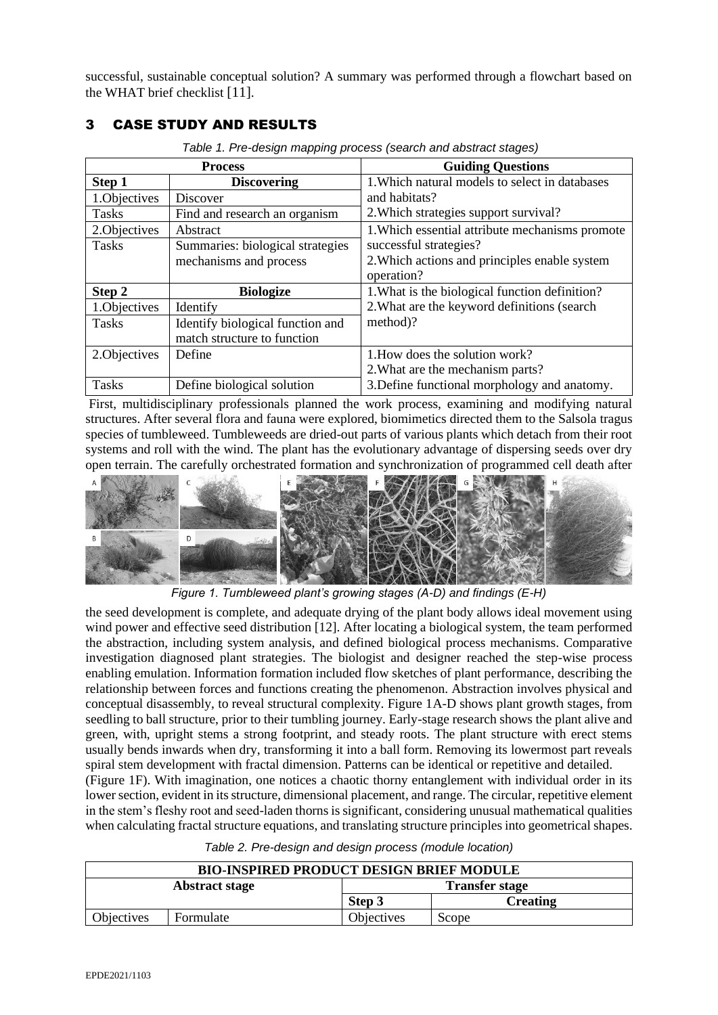successful, sustainable conceptual solution? A summary was performed through a flowchart based on the WHAT brief checklist [11].

# 3 CASE STUDY AND RESULTS

| <b>Process</b> |                                  | <b>Guiding Questions</b>                        |
|----------------|----------------------------------|-------------------------------------------------|
| Step 1         | <b>Discovering</b>               | 1. Which natural models to select in databases  |
| 1. Objectives  | Discover                         | and habitats?                                   |
| <b>Tasks</b>   | Find and research an organism    | 2. Which strategies support survival?           |
| 2. Objectives  | Abstract                         | 1. Which essential attribute mechanisms promote |
| <b>Tasks</b>   | Summaries: biological strategies | successful strategies?                          |
|                | mechanisms and process           | 2. Which actions and principles enable system   |
|                |                                  | operation?                                      |
| Step 2         | <b>Biologize</b>                 | 1. What is the biological function definition?  |
| 1. Objectives  | Identify                         | 2. What are the keyword definitions (search)    |
| <b>Tasks</b>   | Identify biological function and | method)?                                        |
|                | match structure to function      |                                                 |
| 2. Objectives  | Define                           | 1. How does the solution work?                  |
|                |                                  | 2. What are the mechanism parts?                |
| <b>Tasks</b>   | Define biological solution       | 3. Define functional morphology and anatomy.    |

*Table 1. Pre-design mapping process (search and abstract stages)*

First, multidisciplinary professionals planned the work process, examining and modifying natural structures. After several flora and fauna were explored, biomimetics directed them to the Salsola tragus species of tumbleweed. Tumbleweeds are dried-out parts of various plants which detach from their root systems and roll with the wind. The plant has the evolutionary advantage of dispersing seeds over dry open terrain. The carefully orchestrated formation and synchronization of programmed cell death after



*Figure 1. Tumbleweed plant's growing stages (A-D) and findings (E-H)*

the seed development is complete, and adequate drying of the plant body allows ideal movement using wind power and effective seed distribution [12]. After locating a biological system, the team performed the abstraction, including system analysis, and defined biological process mechanisms. Comparative investigation diagnosed plant strategies. The biologist and designer reached the step-wise process enabling emulation. Information formation included flow sketches of plant performance, describing the relationship between forces and functions creating the phenomenon. Abstraction involves physical and conceptual disassembly, to reveal structural complexity. Figure 1A-D shows plant growth stages, from seedling to ball structure, prior to their tumbling journey. Early-stage research shows the plant alive and green, with, upright stems a strong footprint, and steady roots. The plant structure with erect stems usually bends inwards when dry, transforming it into a ball form. Removing its lowermost part reveals spiral stem development with fractal dimension. Patterns can be identical or repetitive and detailed. (Figure 1F). With imagination, one notices a chaotic thorny entanglement with individual order in its lower section, evident in its structure, dimensional placement, and range. The circular, repetitive element in the stem's fleshy root and seed-laden thorns is significant, considering unusual mathematical qualities

| <b>BIO-INSPIRED PRODUCT DESIGN BRIEF MODULE</b> |           |                       |                 |  |
|-------------------------------------------------|-----------|-----------------------|-----------------|--|
| <b>Abstract stage</b>                           |           | <b>Transfer stage</b> |                 |  |
|                                                 |           | Step 3                | <b>Creating</b> |  |
| <b>Objectives</b>                               | Formulate | <b>Objectives</b>     | Scope           |  |

when calculating fractal structure equations, and translating structure principles into geometrical shapes. *Table 2. Pre-design and design process (module location)*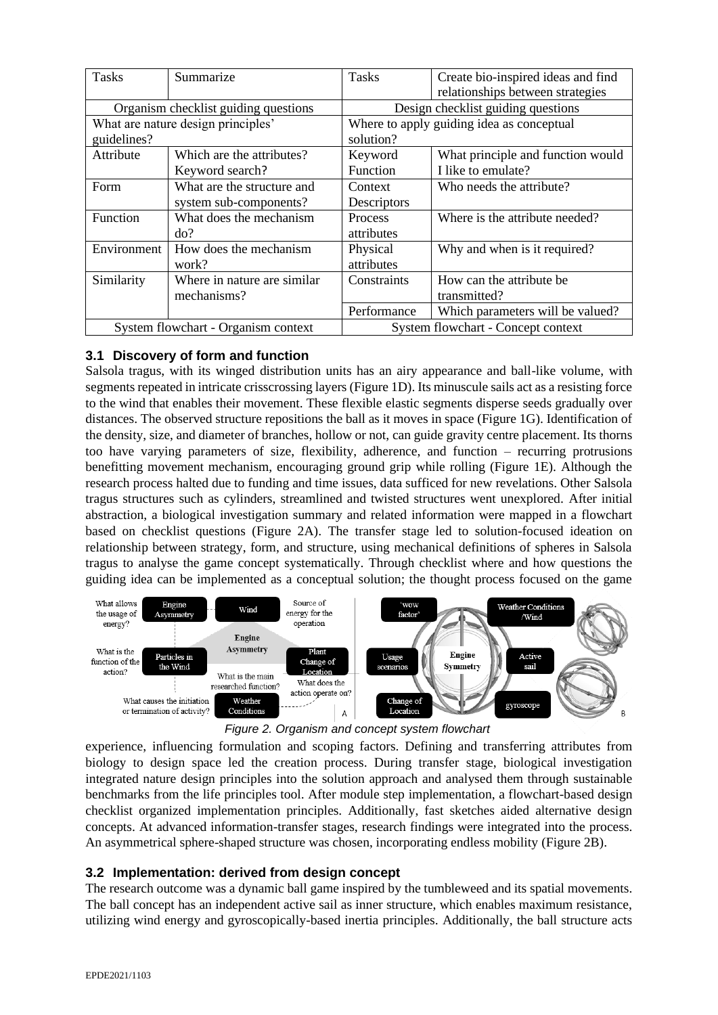| <b>Tasks</b>                         | Summarize                   | <b>Tasks</b>                              | Create bio-inspired ideas and find<br>relationships between strategies |
|--------------------------------------|-----------------------------|-------------------------------------------|------------------------------------------------------------------------|
| Organism checklist guiding questions |                             | Design checklist guiding questions        |                                                                        |
| What are nature design principles'   |                             | Where to apply guiding idea as conceptual |                                                                        |
| guidelines?                          |                             | solution?                                 |                                                                        |
| Attribute                            | Which are the attributes?   | Keyword                                   | What principle and function would                                      |
|                                      | Keyword search?             | Function                                  | I like to emulate?                                                     |
| Form                                 | What are the structure and  | Context                                   | Who needs the attribute?                                               |
|                                      | system sub-components?      | Descriptors                               |                                                                        |
| Function                             | What does the mechanism     | <b>Process</b>                            | Where is the attribute needed?                                         |
|                                      | do?                         | <i>attributes</i>                         |                                                                        |
| Environment                          | How does the mechanism      | Physical                                  | Why and when is it required?                                           |
|                                      | work?                       | attributes                                |                                                                        |
| Similarity                           | Where in nature are similar | Constraints                               | How can the attribute be.                                              |
|                                      | mechanisms?                 |                                           | transmitted?                                                           |
|                                      |                             | Performance                               | Which parameters will be valued?                                       |
| System flowchart - Organism context  |                             | System flowchart - Concept context        |                                                                        |

### **3.1 Discovery of form and function**

Salsola tragus, with its winged distribution units has an airy appearance and ball-like volume, with segments repeated in intricate crisscrossing layers (Figure 1D). Its minuscule sails act as a resisting force to the wind that enables their movement. These flexible elastic segments disperse seeds gradually over distances. The observed structure repositions the ball as it moves in space (Figure 1G). Identification of the density, size, and diameter of branches, hollow or not, can guide gravity centre placement. Its thorns too have varying parameters of size, flexibility, adherence, and function – recurring protrusions benefitting movement mechanism, encouraging ground grip while rolling (Figure 1E). Although the research process halted due to funding and time issues, data sufficed for new revelations. Other Salsola tragus structures such as cylinders, streamlined and twisted structures went unexplored. After initial abstraction, a biological investigation summary and related information were mapped in a flowchart based on checklist questions (Figure 2A). The transfer stage led to solution-focused ideation on relationship between strategy, form, and structure, using mechanical definitions of spheres in Salsola tragus to analyse the game concept systematically. Through checklist where and how questions the guiding idea can be implemented as a conceptual solution; the thought process focused on the game



*Figure 2. Organism and concept system flowchart*

experience, influencing formulation and scoping factors. Defining and transferring attributes from biology to design space led the creation process. During transfer stage, biological investigation integrated nature design principles into the solution approach and analysed them through sustainable benchmarks from the life principles tool. After module step implementation, a flowchart-based design checklist organized implementation principles. Additionally, fast sketches aided alternative design concepts. At advanced information-transfer stages, research findings were integrated into the process. An asymmetrical sphere-shaped structure was chosen, incorporating endless mobility (Figure 2B).

### **3.2 Implementation: derived from design concept**

The research outcome was a dynamic ball game inspired by the tumbleweed and its spatial movements. The ball concept has an independent active sail as inner structure, which enables maximum resistance, utilizing wind energy and gyroscopically-based inertia principles. Additionally, the ball structure acts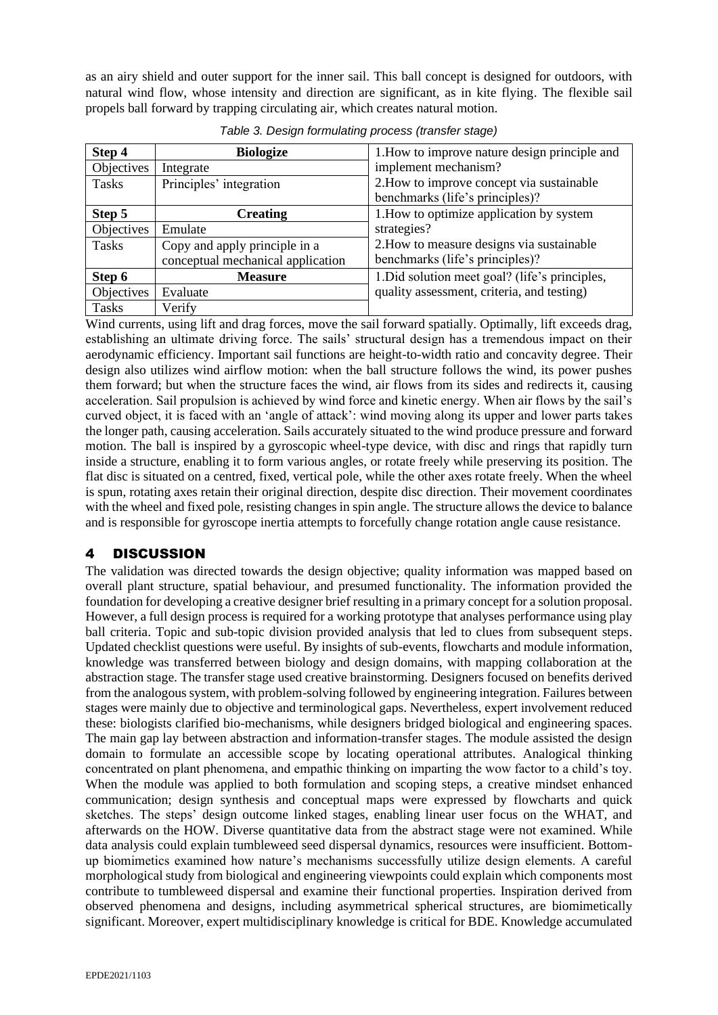as an airy shield and outer support for the inner sail. This ball concept is designed for outdoors, with natural wind flow, whose intensity and direction are significant, as in kite flying. The flexible sail propels ball forward by trapping circulating air, which creates natural motion.

| Step 4       | <b>Biologize</b>                  | 1. How to improve nature design principle and  |
|--------------|-----------------------------------|------------------------------------------------|
| Objectives   | Integrate                         | implement mechanism?                           |
| <b>Tasks</b> | Principles' integration           | 2. How to improve concept via sustainable      |
|              |                                   | benchmarks (life's principles)?                |
| Step 5       | <b>Creating</b>                   | 1. How to optimize application by system       |
| Objectives   | Emulate                           | strategies?                                    |
| <b>Tasks</b> | Copy and apply principle in a     | 2. How to measure designs via sustainable      |
|              | conceptual mechanical application | benchmarks (life's principles)?                |
| Step 6       | <b>Measure</b>                    | 1. Did solution meet goal? (life's principles, |
| Objectives   | Evaluate                          | quality assessment, criteria, and testing)     |
| <b>Tasks</b> | Verify                            |                                                |

*Table 3. Design formulating process (transfer stage)*

Wind currents, using lift and drag forces, move the sail forward spatially. Optimally, lift exceeds drag, establishing an ultimate driving force. The sails' structural design has a tremendous impact on their aerodynamic efficiency. Important sail functions are height-to-width ratio and concavity degree. Their design also utilizes wind airflow motion: when the ball structure follows the wind, its power pushes them forward; but when the structure faces the wind, air flows from its sides and redirects it, causing acceleration. Sail propulsion is achieved by wind force and kinetic energy. When air flows by the sail's curved object, it is faced with an 'angle of attack': wind moving along its upper and lower parts takes the longer path, causing acceleration. Sails accurately situated to the wind produce pressure and forward motion. The ball is inspired by a gyroscopic wheel-type device, with disc and rings that rapidly turn inside a structure, enabling it to form various angles, or rotate freely while preserving its position. The flat disc is situated on a centred, fixed, vertical pole, while the other axes rotate freely. When the wheel is spun, rotating axes retain their original direction, despite disc direction. Their movement coordinates with the wheel and fixed pole, resisting changes in spin angle. The structure allows the device to balance and is responsible for gyroscope inertia attempts to forcefully change rotation angle cause resistance.

# 4 DISCUSSION

The validation was directed towards the design objective; quality information was mapped based on overall plant structure, spatial behaviour, and presumed functionality. The information provided the foundation for developing a creative designer brief resulting in a primary concept for a solution proposal. However, a full design process is required for a working prototype that analyses performance using play ball criteria. Topic and sub-topic division provided analysis that led to clues from subsequent steps. Updated checklist questions were useful. By insights of sub-events, flowcharts and module information, knowledge was transferred between biology and design domains, with mapping collaboration at the abstraction stage. The transfer stage used creative brainstorming. Designers focused on benefits derived from the analogous system, with problem-solving followed by engineering integration. Failures between stages were mainly due to objective and terminological gaps. Nevertheless, expert involvement reduced these: biologists clarified bio-mechanisms, while designers bridged biological and engineering spaces. The main gap lay between abstraction and information-transfer stages. The module assisted the design domain to formulate an accessible scope by locating operational attributes. Analogical thinking concentrated on plant phenomena, and empathic thinking on imparting the wow factor to a child's toy. When the module was applied to both formulation and scoping steps, a creative mindset enhanced communication; design synthesis and conceptual maps were expressed by flowcharts and quick sketches. The steps' design outcome linked stages, enabling linear user focus on the WHAT, and afterwards on the HOW. Diverse quantitative data from the abstract stage were not examined. While data analysis could explain tumbleweed seed dispersal dynamics, resources were insufficient. Bottomup biomimetics examined how nature's mechanisms successfully utilize design elements. A careful morphological study from biological and engineering viewpoints could explain which components most contribute to tumbleweed dispersal and examine their functional properties. Inspiration derived from observed phenomena and designs, including asymmetrical spherical structures, are biomimetically significant. Moreover, expert multidisciplinary knowledge is critical for BDE. Knowledge accumulated